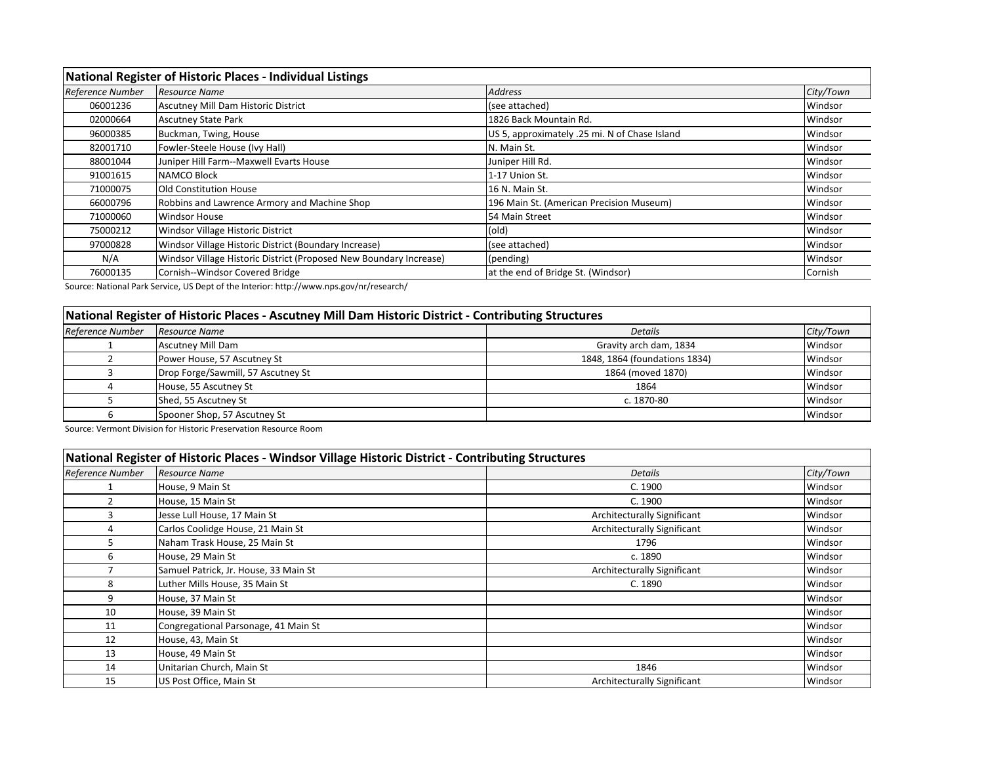| National Register of Historic Places - Individual Listings |                                                                    |                                               |           |
|------------------------------------------------------------|--------------------------------------------------------------------|-----------------------------------------------|-----------|
| Reference Number                                           | <b>Resource Name</b>                                               | <b>Address</b>                                | City/Town |
| 06001236                                                   | Ascutney Mill Dam Historic District                                | (see attached)                                | Windsor   |
| 02000664                                                   | <b>Ascutney State Park</b>                                         | 1826 Back Mountain Rd.                        | Windsor   |
| 96000385                                                   | Buckman, Twing, House                                              | US 5, approximately .25 mi. N of Chase Island | Windsor   |
| 82001710                                                   | Fowler-Steele House (Ivy Hall)                                     | N. Main St.                                   | Windsor   |
| 88001044                                                   | Juniper Hill Farm--Maxwell Evarts House                            | Juniper Hill Rd.                              | Windsor   |
| 91001615                                                   | <b>NAMCO Block</b>                                                 | 1-17 Union St.                                | Windsor   |
| 71000075                                                   | <b>Old Constitution House</b>                                      | 16 N. Main St.                                | Windsor   |
| 66000796                                                   | Robbins and Lawrence Armory and Machine Shop                       | 196 Main St. (American Precision Museum)      | Windsor   |
| 71000060                                                   | <b>Windsor House</b>                                               | 54 Main Street                                | Windsor   |
| 75000212                                                   | Windsor Village Historic District                                  | (old)                                         | Windsor   |
| 97000828                                                   | Windsor Village Historic District (Boundary Increase)              | (see attached)                                | Windsor   |
| N/A                                                        | Windsor Village Historic District (Proposed New Boundary Increase) | (pending)                                     | Windsor   |
| 76000135                                                   | Cornish--Windsor Covered Bridge                                    | at the end of Bridge St. (Windsor)            | Cornish   |

Source: National Park Service, US Dept of the Interior: http://www.nps.gov/nr/research/

## **National Register of Historic Places - Ascutney Mill Dam Historic District - Contributing Structures**

| Reference Number | Resource Name                      | <b>Details</b>                | City/Town |
|------------------|------------------------------------|-------------------------------|-----------|
|                  | <b>Ascutney Mill Dam</b>           | Gravity arch dam, 1834        | Windsor   |
|                  | Power House, 57 Ascutney St        | 1848, 1864 (foundations 1834) | Windsor   |
|                  | Drop Forge/Sawmill, 57 Ascutney St | 1864 (moved 1870)             | Windsor   |
|                  | House, 55 Ascutney St              | 1864                          | Windsor   |
|                  | Shed, 55 Ascutney St               | c. 1870-80                    | Windsor   |
|                  | Spooner Shop, 57 Ascutney St       |                               | Windsor   |

Source: Vermont Division for Historic Preservation Resource Room

| National Register of Historic Places - Windsor Village Historic District - Contributing Structures |                                       |                                    |           |
|----------------------------------------------------------------------------------------------------|---------------------------------------|------------------------------------|-----------|
| Reference Number                                                                                   | <b>Resource Name</b>                  | <b>Details</b>                     | City/Town |
|                                                                                                    | House, 9 Main St                      | C. 1900                            | Windsor   |
| 2                                                                                                  | House, 15 Main St                     | C. 1900                            | Windsor   |
| 3                                                                                                  | Jesse Lull House, 17 Main St          | <b>Architecturally Significant</b> | Windsor   |
| 4                                                                                                  | Carlos Coolidge House, 21 Main St     | <b>Architecturally Significant</b> | Windsor   |
| 5                                                                                                  | Naham Trask House, 25 Main St         | 1796                               | Windsor   |
| 6                                                                                                  | House, 29 Main St                     | c. 1890                            | Windsor   |
|                                                                                                    | Samuel Patrick, Jr. House, 33 Main St | Architecturally Significant        | Windsor   |
| 8                                                                                                  | Luther Mills House, 35 Main St        | C. 1890                            | Windsor   |
| 9                                                                                                  | House, 37 Main St                     |                                    | Windsor   |
| 10                                                                                                 | House, 39 Main St                     |                                    | Windsor   |
| 11                                                                                                 | Congregational Parsonage, 41 Main St  |                                    | Windsor   |
| 12                                                                                                 | House, 43, Main St                    |                                    | Windsor   |
| 13                                                                                                 | House, 49 Main St                     |                                    | Windsor   |
| 14                                                                                                 | Unitarian Church, Main St             | 1846                               | Windsor   |
| 15                                                                                                 | US Post Office, Main St               | Architecturally Significant        | Windsor   |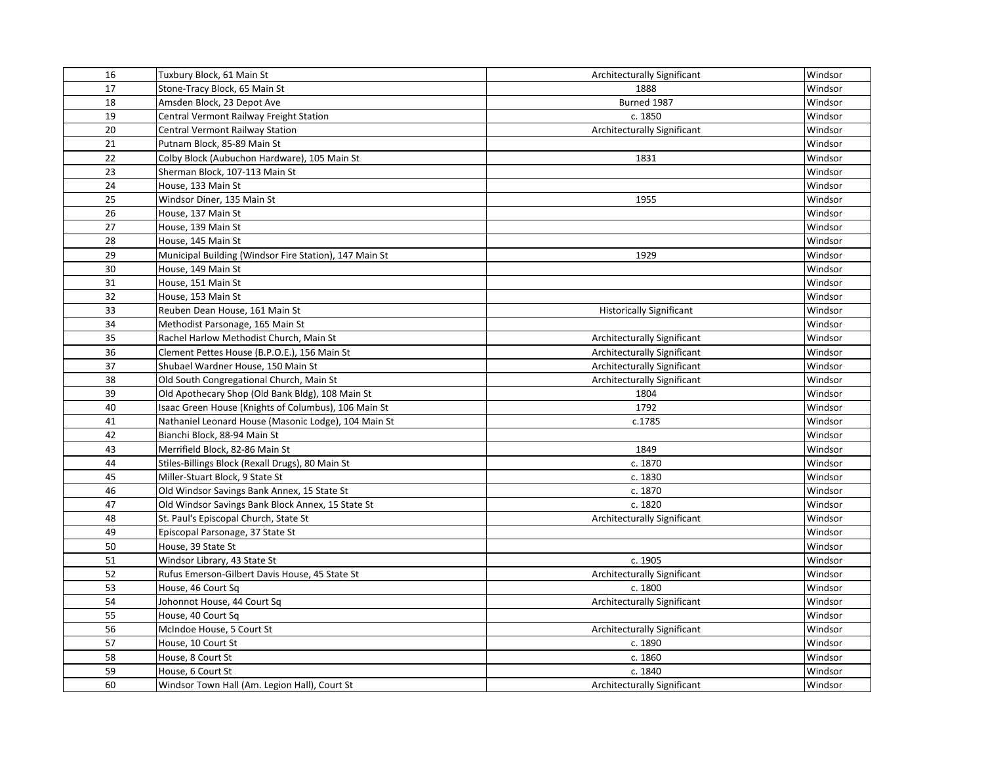| 16 | Tuxbury Block, 61 Main St                              | Architecturally Significant        | Windsor |
|----|--------------------------------------------------------|------------------------------------|---------|
| 17 | Stone-Tracy Block, 65 Main St                          | 1888                               | Windsor |
| 18 | Amsden Block, 23 Depot Ave                             | Burned 1987                        | Windsor |
| 19 | Central Vermont Railway Freight Station                | c. 1850                            | Windsor |
| 20 | Central Vermont Railway Station                        | Architecturally Significant        | Windsor |
| 21 | Putnam Block, 85-89 Main St                            |                                    | Windsor |
| 22 | Colby Block (Aubuchon Hardware), 105 Main St           | 1831                               | Windsor |
| 23 | Sherman Block, 107-113 Main St                         |                                    | Windsor |
| 24 | House, 133 Main St                                     |                                    | Windsor |
| 25 | Windsor Diner, 135 Main St                             | 1955                               | Windsor |
| 26 | House, 137 Main St                                     |                                    | Windsor |
| 27 | House, 139 Main St                                     |                                    | Windsor |
| 28 | House, 145 Main St                                     |                                    | Windsor |
| 29 | Municipal Building (Windsor Fire Station), 147 Main St | 1929                               | Windsor |
| 30 | House, 149 Main St                                     |                                    | Windsor |
| 31 | House, 151 Main St                                     |                                    | Windsor |
| 32 | House, 153 Main St                                     |                                    | Windsor |
| 33 | Reuben Dean House, 161 Main St                         | <b>Historically Significant</b>    | Windsor |
| 34 | Methodist Parsonage, 165 Main St                       |                                    | Windsor |
| 35 | Rachel Harlow Methodist Church, Main St                | Architecturally Significant        | Windsor |
| 36 | Clement Pettes House (B.P.O.E.), 156 Main St           | Architecturally Significant        | Windsor |
| 37 | Shubael Wardner House, 150 Main St                     | Architecturally Significant        | Windsor |
| 38 | Old South Congregational Church, Main St               | Architecturally Significant        | Windsor |
| 39 | Old Apothecary Shop (Old Bank Bldg), 108 Main St       | 1804                               | Windsor |
| 40 | Isaac Green House (Knights of Columbus), 106 Main St   | 1792                               | Windsor |
| 41 | Nathaniel Leonard House (Masonic Lodge), 104 Main St   | c.1785                             | Windsor |
| 42 | Bianchi Block, 88-94 Main St                           |                                    | Windsor |
| 43 | Merrifield Block, 82-86 Main St                        | 1849                               | Windsor |
| 44 | Stiles-Billings Block (Rexall Drugs), 80 Main St       | c. 1870                            | Windsor |
| 45 | Miller-Stuart Block, 9 State St                        | c. 1830                            | Windsor |
| 46 | Old Windsor Savings Bank Annex, 15 State St            | c. 1870                            | Windsor |
| 47 | Old Windsor Savings Bank Block Annex, 15 State St      | c. 1820                            | Windsor |
| 48 | St. Paul's Episcopal Church, State St                  | Architecturally Significant        | Windsor |
| 49 | Episcopal Parsonage, 37 State St                       |                                    | Windsor |
| 50 | House, 39 State St                                     |                                    | Windsor |
| 51 | Windsor Library, 43 State St                           | c. 1905                            | Windsor |
| 52 | Rufus Emerson-Gilbert Davis House, 45 State St         | <b>Architecturally Significant</b> | Windsor |
| 53 | House, 46 Court Sq                                     | c. 1800                            | Windsor |
| 54 | Johonnot House, 44 Court Sq                            | Architecturally Significant        | Windsor |
| 55 | House, 40 Court Sq                                     |                                    | Windsor |
| 56 | McIndoe House, 5 Court St                              | Architecturally Significant        | Windsor |
| 57 | House, 10 Court St                                     | c. 1890                            | Windsor |
| 58 | House, 8 Court St                                      | c. 1860                            | Windsor |
| 59 | House, 6 Court St                                      | c. 1840                            | Windsor |
| 60 | Windsor Town Hall (Am. Legion Hall), Court St          | Architecturally Significant        | Windsor |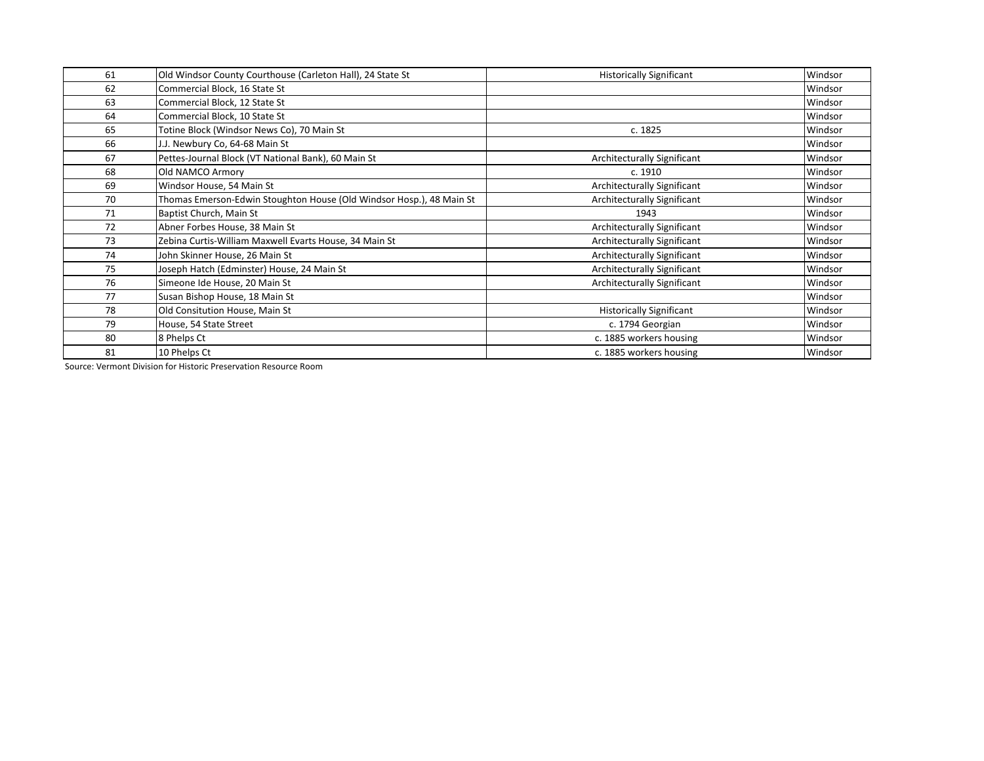| 61 | Old Windsor County Courthouse (Carleton Hall), 24 State St           | <b>Historically Significant</b> | Windsor |
|----|----------------------------------------------------------------------|---------------------------------|---------|
| 62 | Commercial Block, 16 State St                                        |                                 | Windsor |
| 63 | Commercial Block, 12 State St                                        |                                 | Windsor |
| 64 | Commercial Block, 10 State St                                        |                                 | Windsor |
| 65 | Totine Block (Windsor News Co), 70 Main St                           | c. 1825                         | Windsor |
| 66 | J.J. Newbury Co, 64-68 Main St                                       |                                 | Windsor |
| 67 | Pettes-Journal Block (VT National Bank), 60 Main St                  | Architecturally Significant     | Windsor |
| 68 | Old NAMCO Armory                                                     | c. 1910                         | Windsor |
| 69 | Windsor House, 54 Main St                                            | Architecturally Significant     | Windsor |
| 70 | Thomas Emerson-Edwin Stoughton House (Old Windsor Hosp.), 48 Main St | Architecturally Significant     | Windsor |
| 71 | Baptist Church, Main St                                              | 1943                            | Windsor |
| 72 | Abner Forbes House, 38 Main St                                       | Architecturally Significant     | Windsor |
| 73 | Zebina Curtis-William Maxwell Evarts House, 34 Main St               | Architecturally Significant     | Windsor |
| 74 | John Skinner House, 26 Main St                                       | Architecturally Significant     | Windsor |
| 75 | Joseph Hatch (Edminster) House, 24 Main St                           | Architecturally Significant     | Windsor |
| 76 | Simeone Ide House, 20 Main St                                        | Architecturally Significant     | Windsor |
| 77 | Susan Bishop House, 18 Main St                                       |                                 | Windsor |
| 78 | Old Consitution House, Main St                                       | <b>Historically Significant</b> | Windsor |
| 79 | House, 54 State Street                                               | c. 1794 Georgian                | Windsor |
| 80 | 8 Phelps Ct                                                          | c. 1885 workers housing         | Windsor |
| 81 | 10 Phelps Ct                                                         | c. 1885 workers housing         | Windsor |

Source: Vermont Division for Historic Preservation Resource Room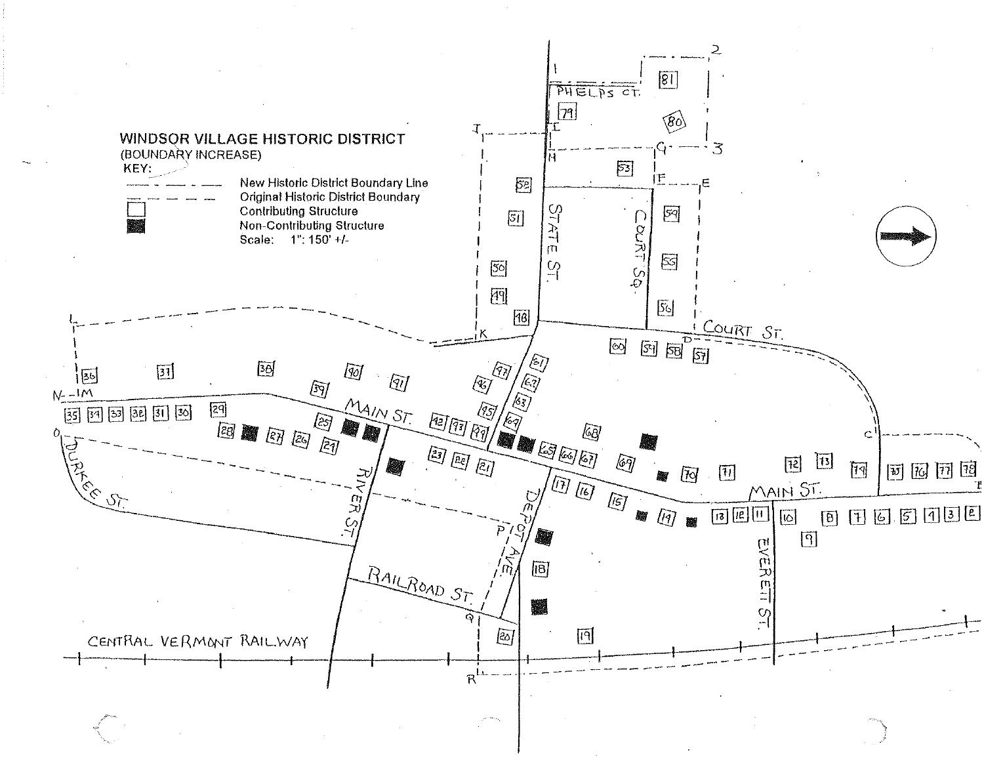